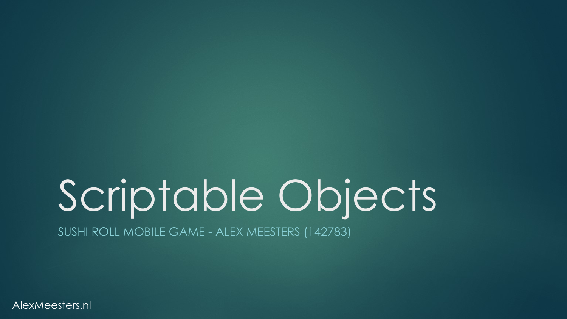# Scriptable Objects

SUSHI ROLL MOBILE GAME - ALEX MEESTERS (142783)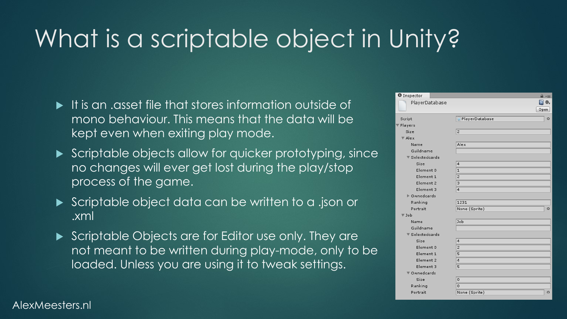### What is a scriptable object in Unity?

- It is an .asset file that stores information outside of mono behaviour. This means that the data will be kept even when exiting play mode.
- Scriptable objects allow for quicker prototyping, since no changes will ever get lost during the play/stop process of the game.
- Scriptable object data can be written to a .json or .xml
- Scriptable Objects are for Editor use only. They are not meant to be written during play-mode, only to be loaded. Unless you are using it to tweak settings.

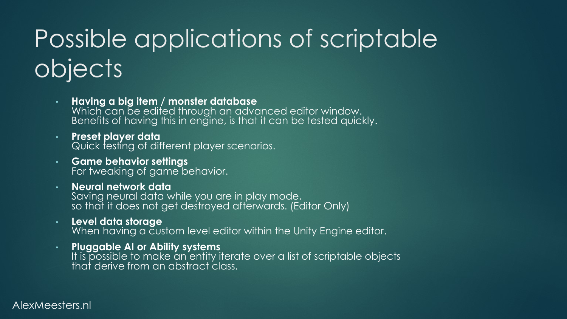## Possible applications of scriptable objects

• **Having a big item / monster database**  Which can be edited through an advanced editor window. Benefits of having this in engine, is that it can be tested quickly.

• **Preset player data** Quick testing of different player scenarios.

- **Game behavior settings** For tweaking of game behavior.
- **Neural network data** Saving neural data while you are in play mode, so that it does not get destroyed afterwards. (Editor Only)
- **Level data storage**  When having a custom level editor within the Unity Engine editor.
- **Pluggable AI or Ability systems** It is possible to make an entity iterate over a list of scriptable objects that derive from an abstract class.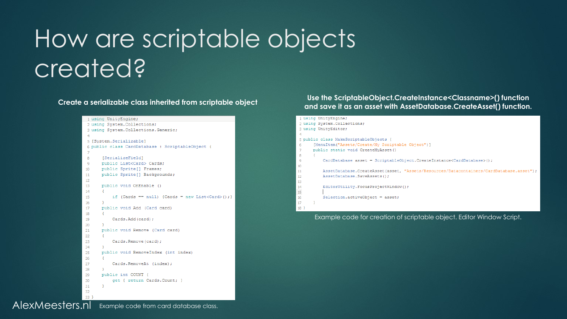### How are scriptable objects created?

**Create a serializable class inherited from scriptable object**

```
1 using UnityEngine;
 2 using System. Collections;
 3 using System. Collections. Generic;
 \overline{4}5 [System.Serializable]
 6 public class CardDatabase : ScriptableObject {
 \overline{7}\mathbf{8}[SerializeField]
 \overline{9}public List<Card> Cards;
        public Sprite[] Frames;
10
        public Sprite[] Backgrounds;
11
1213
        public void OnEnable ()
14\rightarrow15
             if (Cards == null) {Cards = new List <Card>(); }
16
        - 3
17
        public void Add (Card card)
18
        \mathcal{L}19
             Cards.Add(card);
20
        \rightarrow21
        public void Remove (Card card)
22
        \cdot23
             Cards. Remove (card);
24
        \rightarrow25
        public void RemoveIndex (int index)
26
        \left\{ \right.27
             Cards. RemoveAt (index);
28
        \rightarrow29
        public int COUNT {
30
             get { return Cards. Count; }
31
        \rightarrow32
33<sup>3</sup>
```
#### **Use the ScriptableObject.CreateInstance<Classname>() function and save it as an asset with AssetDatabase.CreateAsset() function.**



Example code for creation of scriptable object. Editor Window Script.

Example code from card database class. AlexMeesters.nl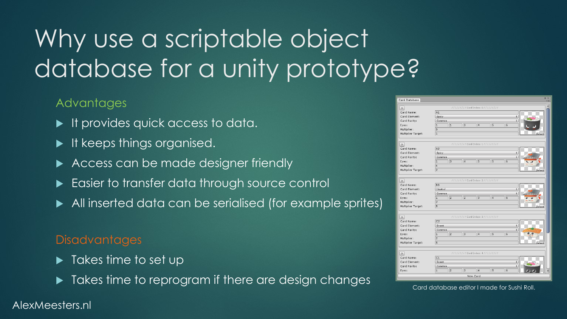### Why use a scriptable object database for a unity prototype?

### Advantages

- It provides quick access to data.
- $\blacktriangleright$  It keeps things organised.
- Access can be made designer friendly
- Easier to transfer data through source control
- All inserted data can be serialised (for example sprites)

#### **Disadvantages**

- $\blacktriangleright$  Takes time to set up
- Takes time to reprogram if there are design changes

| Card Rarity:                  | Common                         |                                  |                |                                 |                | $\div$                                       |                       |
|-------------------------------|--------------------------------|----------------------------------|----------------|---------------------------------|----------------|----------------------------------------------|-----------------------|
| Card Name:<br>Card Element:   | C1<br>Sweet                    |                                  |                |                                 |                | $\ddot{\hat{\tau}}$                          |                       |
| [x                            |                                | //////// Card Index: 4/////////  |                |                                 |                |                                              |                       |
| Multiplier Target:            | $\overline{5}$                 |                                  |                |                                 |                |                                              | Select                |
| Multiplier:                   | $\overline{2}$                 |                                  |                |                                 |                |                                              |                       |
| Eyes:                         | $\overline{2}$<br>$\mathbf{1}$ | $\overline{3}$                   | $\overline{4}$ | $\overline{5}$                  | 6              |                                              | $\bullet$ , $\bullet$ |
| Card Element:<br>Card Rarity: | Sweet<br>Common                |                                  |                |                                 |                | $\div$<br>$\overset{\mathtt{+}}{\mathtt{+}}$ |                       |
| Card Name:                    | C <sub>2</sub>                 |                                  |                |                                 |                |                                              |                       |
| Ιx                            |                                | //////// Card Index: 3/////////  |                |                                 |                |                                              |                       |
| Multiplier Target:            | 5                              |                                  |                |                                 |                |                                              | Select                |
| Multiplier:                   | $\overline{2}$                 |                                  |                |                                 |                |                                              |                       |
| Eyes:                         | $\overline{2}$<br>$\mathbf{1}$ | $\overline{2}$                   | $\overline{3}$ | $\overline{4}$                  | 6              |                                              |                       |
| Card Rarity:                  | Common                         |                                  |                |                                 |                | $\ddot{\mathbf{v}}$                          |                       |
| Card Element:                 | Neutral                        |                                  |                |                                 |                | $\ddot{\tau}$                                |                       |
| $\mathsf{X}$<br>Card Name:    | <b>B3</b>                      | ///////// Card Index: 2///////// |                |                                 |                |                                              |                       |
|                               |                                |                                  |                |                                 |                |                                              |                       |
| Multiplier Target:            | $\overline{2}$                 |                                  |                |                                 |                |                                              | Select                |
| Multiplier:                   | $\overline{4}$                 |                                  |                |                                 |                |                                              |                       |
| Eyes:                         | $\overline{1}$                 | $\overline{4}$                   | $\overline{5}$ | 5                               | 6              |                                              |                       |
| Card Element:<br>Card Rarity: | Spicy<br>Common                |                                  |                |                                 |                | ¢<br>$\ddot{\div}$                           |                       |
| Card Name:                    | A <sub>3</sub>                 |                                  |                |                                 |                |                                              |                       |
| $\overline{\mathbf{x}}$       |                                | //////// Card Index: 1/////////  |                |                                 |                |                                              |                       |
|                               |                                |                                  |                |                                 |                |                                              |                       |
| Multiplier Target:            | $\overline{1}$                 |                                  |                |                                 |                |                                              |                       |
| Eyes:<br>Multiplier:          | $\overline{1}$<br>5            |                                  | $\overline{4}$ |                                 |                |                                              |                       |
| Card Rarity:                  | Common<br>T                    | $\overline{\mathbf{3}}$          |                | $\overline{5}$                  | $\overline{6}$ | $\ddot{\hat{\tau}}$                          |                       |
| Card Element:                 | Spicy                          |                                  |                |                                 |                | $\ddot{}$                                    |                       |
| Card Name:                    | A1                             |                                  |                |                                 |                |                                              |                       |
| $\mathbf{x}$                  |                                |                                  |                | //////// Card Index: 0///////// |                |                                              |                       |

Card database editor I made for Sushi Roll.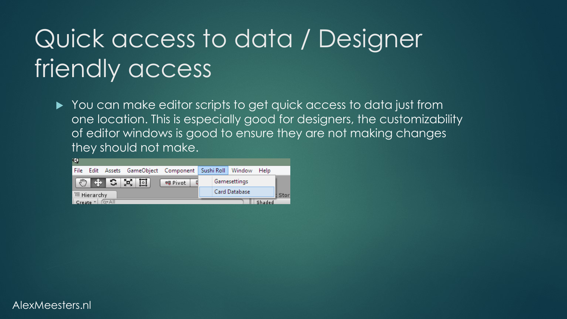### Quick access to data / Designer friendly access

▶ You can make editor scripts to get quick access to data just from one location. This is especially good for designers, the customizability of editor windows is good to ensure they are not making changes they should not make.



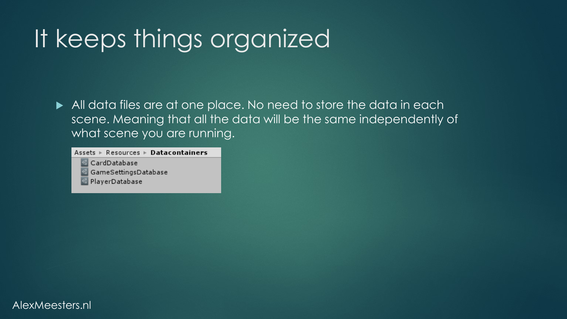### It keeps things organized

All data files are at one place. No need to store the data in each scene. Meaning that all the data will be the same independently of what scene you are running.

Assets  $\triangleright$  Resources  $\triangleright$  Datacontainers

CardDatabase

GameSettingsDatabase

PlayerDatabase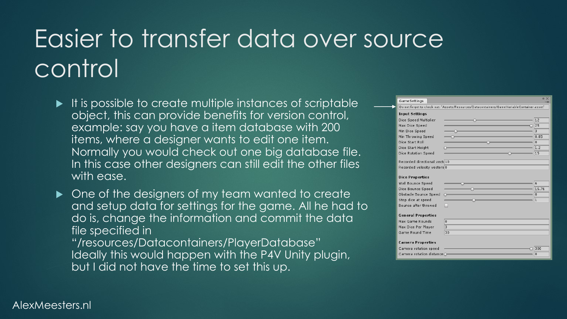### Easier to transfer data over source control

- $\blacktriangleright$  It is possible to create multiple instances of scriptable object, this can provide benefits for version control, example: say you have a item database with 200 items, where a designer wants to edit one item. Normally you would check out one big database file. In this case other designers can still edit the other files with ease.
- One of the designers of my team wanted to create and setup data for settings for the game. All he had to do is, change the information and commit the data file specified in

"/resources/Datacontainers/PlayerDatabase" Ideally this would happen with the P4V Unity plugin, but I did not have the time to set this up.

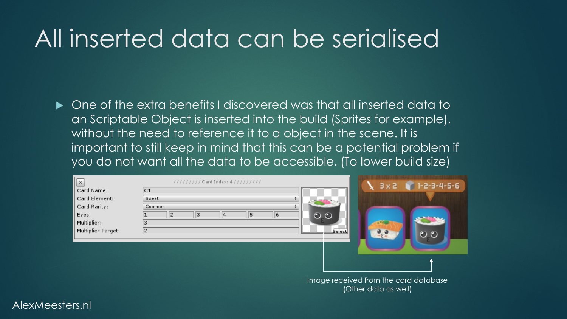### All inserted data can be serialised

 $\blacktriangleright$  One of the extra benefits I discovered was that all inserted data to an Scriptable Object is inserted into the build (Sprites for example), without the need to reference it to a object in the scene. It is important to still keep in mind that this can be a potential problem if you do not want all the data to be accessible. (To lower build size)

| [x                 | //////// Card Index: 4///////// | $3 \times 2$ $1 - 2 - 3 - 4 - 5 - 6$ |
|--------------------|---------------------------------|--------------------------------------|
| Card Name:         | C1                              |                                      |
| Card Element:      | Sweet                           |                                      |
| Card Rarity:       | Common                          |                                      |
| Eyes:              | 5<br>6<br> 2<br>з<br>14         | O                                    |
| Multiplier:        |                                 |                                      |
| Multiplier Target: |                                 | Select<br>$\circ$ $\circ$            |
|                    |                                 |                                      |
|                    |                                 |                                      |
|                    |                                 |                                      |

Image received from the card database (Other data as well)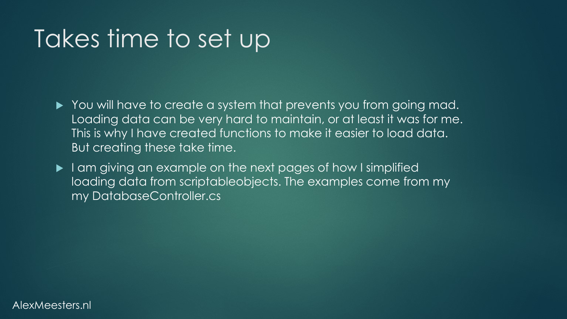### Takes time to set up

- You will have to create a system that prevents you from going mad. Loading data can be very hard to maintain, or at least it was for me. This is why I have created functions to make it easier to load data. But creating these take time.
- I am giving an example on the next pages of how I simplified loading data from scriptableobjects. The examples come from my my DatabaseController.cs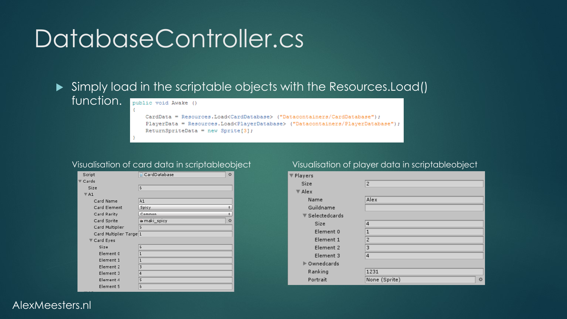### DatabaseController.cs

#### Simply load in the scriptable objects with the Resources.Load() function. public void Awake ()

CardData = Resources.Load<CardDatabase> ("Datacontainers/CardDatabase"); PlayerData = Resources.Load<PlayerDatabase> ("Datacontainers/PlayerDatabase"); ReturnSpriteData = new Sprite[3];

| Script                  | CardDatabase   | O |
|-------------------------|----------------|---|
| $\nabla$ Cards          |                |   |
| Size                    | 6              |   |
| $\nabla$ A1             |                |   |
| Card Name               | A <sub>1</sub> |   |
| Card Element            | Spicy          | ÷ |
| Card Rarity             | Common         | ÷ |
| Card Sprite             | in maki_spicy  | O |
| Card Multiplier         | 5              |   |
| Card Multiplier Targe 1 |                |   |
| ▼ Card Eyes             |                |   |
| Size                    | 6              |   |
| Element 0               | $\mathbf{1}$   |   |
| Element 1               | $\mathbf{1}$   |   |
| Element 2               | 3              |   |
| Element 3               | $\overline{4}$ |   |
| Element 4               | 5              |   |
| Element 5               | 6              |   |

#### Visualisation of card data in scriptableobject Visualisation of player data in scriptableobject

| Players                             |                          |
|-------------------------------------|--------------------------|
| Size                                | $\overline{2}$           |
| $\nabla$ Alex                       |                          |
| Name                                | Alex                     |
| Guildname                           |                          |
| $\blacktriangledown$ Selected cards |                          |
| Size                                | $\overline{4}$           |
| Element 0                           | $\mathbf{1}$             |
| Element 1                           | $\overline{2}$           |
| Element 2                           | 3                        |
| Element 3                           | $\overline{4}$           |
| ▶ Ownedcards                        |                          |
| Ranking                             | 1231                     |
| Portrait                            | None (Sprite)<br>$\odot$ |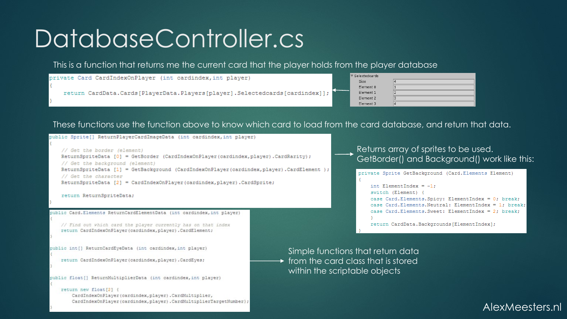### DatabaseController.cs

This is a function that returns me the current card that the player holds from the player database

| private Card CardIndexOnPlayer (int cardindex, int player)                  |  | $\blacktriangledown$ Selected cards |  |
|-----------------------------------------------------------------------------|--|-------------------------------------|--|
|                                                                             |  | Size                                |  |
|                                                                             |  | Element 0                           |  |
| return CardData.Cards[PlayerData.Players[player].Selectedcards[cardindex]]; |  | Element 1                           |  |
|                                                                             |  | Element 2                           |  |
|                                                                             |  | Element <sub>2</sub>                |  |

These functions use the function above to know which card to load from the card database, and return that data.

// Get the border (element) ReturnSpriteData [0] = GetBorder (CardIndexOnPlayer(cardindex, player). CardRarity); // Get the background (element) ReturnSpriteData [1] = GetBackground (CardIndexOnPlayer(cardindex, player).CardElement ) ; // Get the character ReturnSpriteData [2] = CardIndexOnPlayer(cardindex, player). CardSprite;



ublic Card.Elements ReturnCardElementData (int cardindex.int player)

oublic Sprite[] ReturnPlaverCardImageData (int cardindex, int plaver)

// Find out which card the player currently has on that index return CardIndexOnPlayer(cardindex, player). CardElement;

public int[] ReturnCardEyeData (int cardindex, int player)

return CardIndexOnPlayer(cardindex, player). CardEyes;

public float[] ReturnMultiplierData (int cardindex, int player)

return new float[2] { CardIndexOnPlayer(cardindex, player).CardMultiplier, CardIndexOnPlayer(cardindex, player).CardMultiplierTargetNumber}; Returns array of sprites to be used. GetBorder() and Background() work like this:

private Sprite GetBackground (Card.Elements Element)

int ElementIndex =  $-1$ ; switch (Element) { case Card.Elements.Spicy: ElementIndex = 0; break; case Card.Elements.Neutral: ElementIndex = 1; break; case Card.Elements.Sweet: ElementIndex = 2: break:

return CardData.Backgrounds[ElementIndex];

Simple functions that return data  $\rightarrow$  from the card class that is stored within the scriptable objects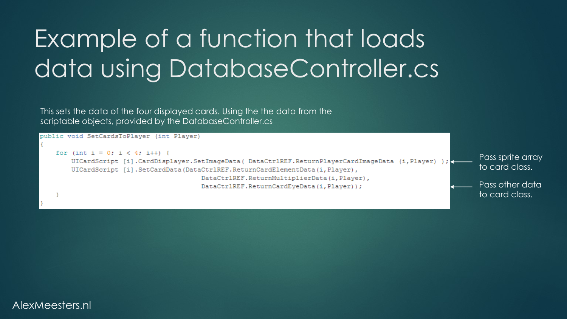### Example of a function that loads data using DatabaseController.cs

This sets the data of the four displayed cards. Using the the data from the scriptable objects, provided by the DatabaseController.cs

#### public void SetCardsToPlayer (int Player) for (int i = 0; i < 4; i++) { Pass sprite array UICardScript [i].CardDisplayer.SetImageData( DataCtr1REF.ReturnPlayerCardImageData (i,Player) ); to card class. UICardScript [i].SetCardData(DataCtrlREF.ReturnCardElementData(i,Player), DataCtrlREF.ReturnMultiplierData(i,Player), Pass other data DataCtrlREF.ReturnCardEyeData(i,Player)); to card class.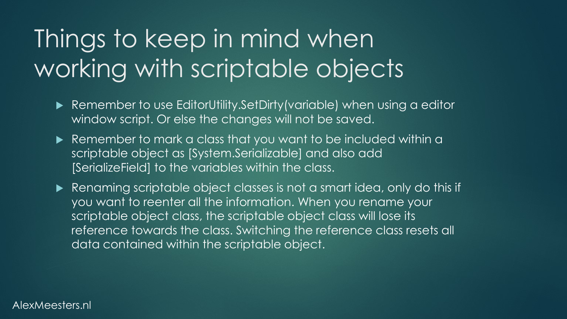### Things to keep in mind when working with scriptable objects

- ▶ Remember to use EditorUtility.SetDirty(variable) when using a editor window script. Or else the changes will not be saved.
- Remember to mark a class that you want to be included within a scriptable object as [System.Serializable] and also add [SerializeField] to the variables within the class.

Renaming scriptable object classes is not a smart idea, only do this if you want to reenter all the information. When you rename your scriptable object class, the scriptable object class will lose its reference towards the class. Switching the reference class resets all data contained within the scriptable object.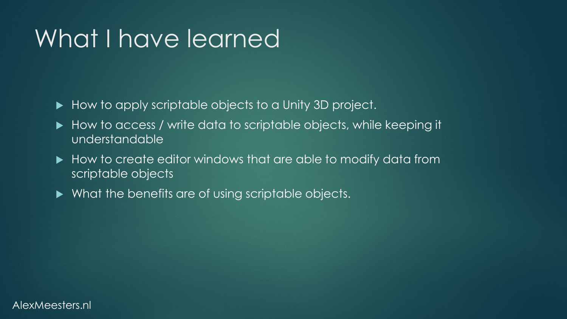### What I have learned

- How to apply scriptable objects to a Unity 3D project.
- How to access / write data to scriptable objects, while keeping it understandable
- $\blacktriangleright$  How to create editor windows that are able to modify data from scriptable objects
- $\blacktriangleright$  What the benefits are of using scriptable objects.